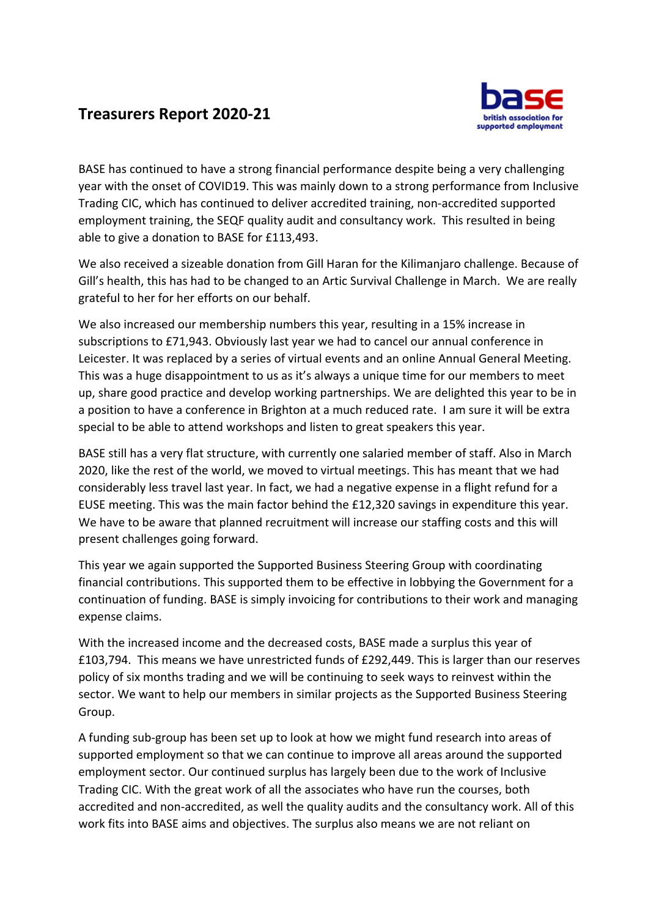## **Treasurers Report 2020-21**



BASE has continued to have a strong financial performance despite being a very challenging year with the onset of COVID19. This was mainly down to a strong performance from Inclusive Trading CIC, which has continued to deliver accredited training, non-accredited supported employment training, the SEQF quality audit and consultancy work. This resulted in being able to give a donation to BASE for £113,493.

We also received a sizeable donation from Gill Haran for the Kilimanjaro challenge. Because of Gill's health, this has had to be changed to an Artic Survival Challenge in March. We are really grateful to her for her efforts on our behalf.

We also increased our membership numbers this year, resulting in a 15% increase in subscriptions to £71,943. Obviously last year we had to cancel our annual conference in Leicester. It was replaced by a series of virtual events and an online Annual General Meeting. This was a huge disappointment to us as it's always a unique time for our members to meet up, share good practice and develop working partnerships. We are delighted this year to be in a position to have a conference in Brighton at a much reduced rate. I am sure it will be extra special to be able to attend workshops and listen to great speakers this year.

BASE still has a very flat structure, with currently one salaried member of staff. Also in March 2020, like the rest of the world, we moved to virtual meetings. This has meant that we had considerably less travel last year. In fact, we had a negative expense in a flight refund for a EUSE meeting. This was the main factor behind the £12,320 savings in expenditure this year. We have to be aware that planned recruitment will increase our staffing costs and this will present challenges going forward.

This year we again supported the Supported Business Steering Group with coordinating financial contributions. This supported them to be effective in lobbying the Government for a continuation of funding. BASE is simply invoicing for contributions to their work and managing expense claims.

With the increased income and the decreased costs, BASE made a surplus this year of £103,794. This means we have unrestricted funds of £292,449. This is larger than our reserves policy of six months trading and we will be continuing to seek ways to reinvest within the sector. We want to help our members in similar projects as the Supported Business Steering Group.

A funding sub-group has been set up to look at how we might fund research into areas of supported employment so that we can continue to improve all areas around the supported employment sector. Our continued surplus has largely been due to the work of Inclusive Trading CIC. With the great work of all the associates who have run the courses, both accredited and non-accredited, as well the quality audits and the consultancy work. All of this work fits into BASE aims and objectives. The surplus also means we are not reliant on